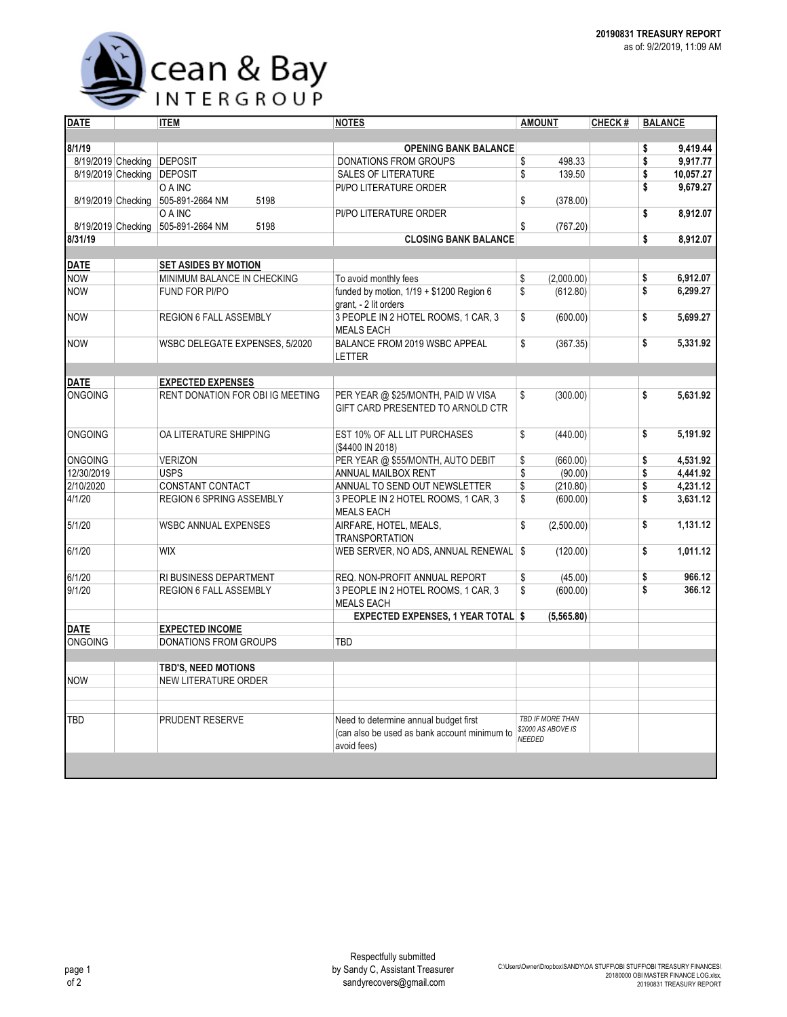

| <b>DATE</b>        |                    | <b>ITEM</b>                      | <b>NOTES</b>                                                                                         | <b>AMOUNT</b>                       | CHECK# | <b>BALANCE</b>  |
|--------------------|--------------------|----------------------------------|------------------------------------------------------------------------------------------------------|-------------------------------------|--------|-----------------|
|                    |                    |                                  |                                                                                                      |                                     |        |                 |
| 8/1/19             |                    |                                  | <b>OPENING BANK BALANCE</b>                                                                          |                                     |        | \$<br>9.419.44  |
| 8/19/2019 Checking |                    | <b>DEPOSIT</b>                   | <b>DONATIONS FROM GROUPS</b>                                                                         | \$<br>498.33                        |        | \$<br>9,917.77  |
| 8/19/2019 Checking |                    | <b>DEPOSIT</b>                   | <b>SALES OF LITERATURE</b>                                                                           | \$<br>139.50                        |        | \$<br>10,057.27 |
|                    |                    | O A INC                          | PI/PO LITERATURE ORDER                                                                               |                                     |        | \$<br>9,679.27  |
| 8/19/2019 Checking |                    | 505-891-2664 NM<br>5198          |                                                                                                      | \$<br>(378.00)                      |        |                 |
|                    |                    | O A INC                          | PI/PO LITERATURE ORDER                                                                               |                                     |        | \$<br>8,912.07  |
|                    | 8/19/2019 Checking | 505-891-2664 NM<br>5198          |                                                                                                      | \$<br>(767.20)                      |        |                 |
| 8/31/19            |                    |                                  | <b>CLOSING BANK BALANCE</b>                                                                          |                                     |        | \$<br>8,912.07  |
|                    |                    |                                  |                                                                                                      |                                     |        |                 |
| <b>DATE</b>        |                    | <b>SET ASIDES BY MOTION</b>      |                                                                                                      |                                     |        |                 |
| <b>NOW</b>         |                    | MINIMUM BALANCE IN CHECKING      | To avoid monthly fees                                                                                | \$<br>(2,000.00)                    |        | \$<br>6,912.07  |
| <b>NOW</b>         |                    | FUND FOR PI/PO                   | funded by motion, $1/19 + $1200$ Region 6<br>grant, - 2 lit orders                                   | \$<br>(612.80)                      |        | \$<br>6,299.27  |
| <b>NOW</b>         |                    | <b>REGION 6 FALL ASSEMBLY</b>    | 3 PEOPLE IN 2 HOTEL ROOMS, 1 CAR, 3<br><b>MEALS EACH</b>                                             | \$<br>(600.00)                      |        | \$<br>5.699.27  |
| <b>NOW</b>         |                    | WSBC DELEGATE EXPENSES, 5/2020   | BALANCE FROM 2019 WSBC APPEAL<br>LETTER                                                              | \$<br>(367.35)                      |        | \$<br>5,331.92  |
|                    |                    |                                  |                                                                                                      |                                     |        |                 |
| <b>DATE</b>        |                    | <b>EXPECTED EXPENSES</b>         |                                                                                                      |                                     |        |                 |
| <b>ONGOING</b>     |                    | RENT DONATION FOR OBI IG MEETING | PER YEAR @ \$25/MONTH, PAID W VISA<br>GIFT CARD PRESENTED TO ARNOLD CTR                              | \$<br>(300.00)                      |        | \$<br>5,631.92  |
| <b>ONGOING</b>     |                    | OA LITERATURE SHIPPING           | EST 10% OF ALL LIT PURCHASES<br>(\$4400 IN 2018)                                                     | \$<br>(440.00)                      |        | \$<br>5.191.92  |
| <b>ONGOING</b>     |                    | <b>VERIZON</b>                   | PER YEAR @ \$55/MONTH, AUTO DEBIT                                                                    | \$<br>(660.00)                      |        | \$<br>4.531.92  |
| 12/30/2019         |                    | <b>USPS</b>                      | ANNUAL MAILBOX RENT                                                                                  | $\overline{\$}$<br>(90.00)          |        | \$<br>4,441.92  |
| 2/10/2020          |                    | CONSTANT CONTACT                 | ANNUAL TO SEND OUT NEWSLETTER                                                                        | \$<br>(210.80)                      |        | \$<br>4,231.12  |
| 4/1/20             |                    | REGION 6 SPRING ASSEMBLY         | 3 PEOPLE IN 2 HOTEL ROOMS, 1 CAR, 3<br><b>MEALS EACH</b>                                             | \$<br>(600.00)                      |        | \$<br>3,631.12  |
| 5/1/20             |                    | <b>WSBC ANNUAL EXPENSES</b>      | AIRFARE, HOTEL, MEALS,<br><b>TRANSPORTATION</b>                                                      | \$<br>(2,500.00)                    |        | \$<br>1.131.12  |
| 6/1/20             |                    | <b>WIX</b>                       | WEB SERVER, NO ADS, ANNUAL RENEWAL   \$                                                              | (120.00)                            |        | \$<br>1,011.12  |
| 6/1/20             |                    | RI BUSINESS DEPARTMENT           | REQ. NON-PROFIT ANNUAL REPORT                                                                        | \$<br>(45.00)                       |        | \$<br>966.12    |
| 9/1/20             |                    | <b>REGION 6 FALL ASSEMBLY</b>    | 3 PEOPLE IN 2 HOTEL ROOMS, 1 CAR, 3<br><b>MEALS EACH</b>                                             | \$<br>(600.00)                      |        | \$<br>366.12    |
|                    |                    |                                  | <b>EXPECTED EXPENSES, 1 YEAR TOTAL \$</b>                                                            | (5,565.80)                          |        |                 |
| <b>DATE</b>        |                    | <b>EXPECTED INCOME</b>           |                                                                                                      |                                     |        |                 |
| <b>ONGOING</b>     |                    | <b>DONATIONS FROM GROUPS</b>     | <b>TBD</b>                                                                                           |                                     |        |                 |
|                    |                    |                                  |                                                                                                      |                                     |        |                 |
|                    |                    | <b>TBD'S, NEED MOTIONS</b>       |                                                                                                      |                                     |        |                 |
| <b>NOW</b>         |                    | NEW LITERATURE ORDER             |                                                                                                      |                                     |        |                 |
|                    |                    |                                  |                                                                                                      |                                     |        |                 |
| TBD                |                    | PRUDENT RESERVE                  |                                                                                                      | <b>TBD IF MORE THAN</b>             |        |                 |
|                    |                    |                                  | Need to determine annual budget first<br>(can also be used as bank account minimum to<br>avoid fees) | \$2000 AS ABOVE IS<br><b>NEEDED</b> |        |                 |
|                    |                    |                                  |                                                                                                      |                                     |        |                 |